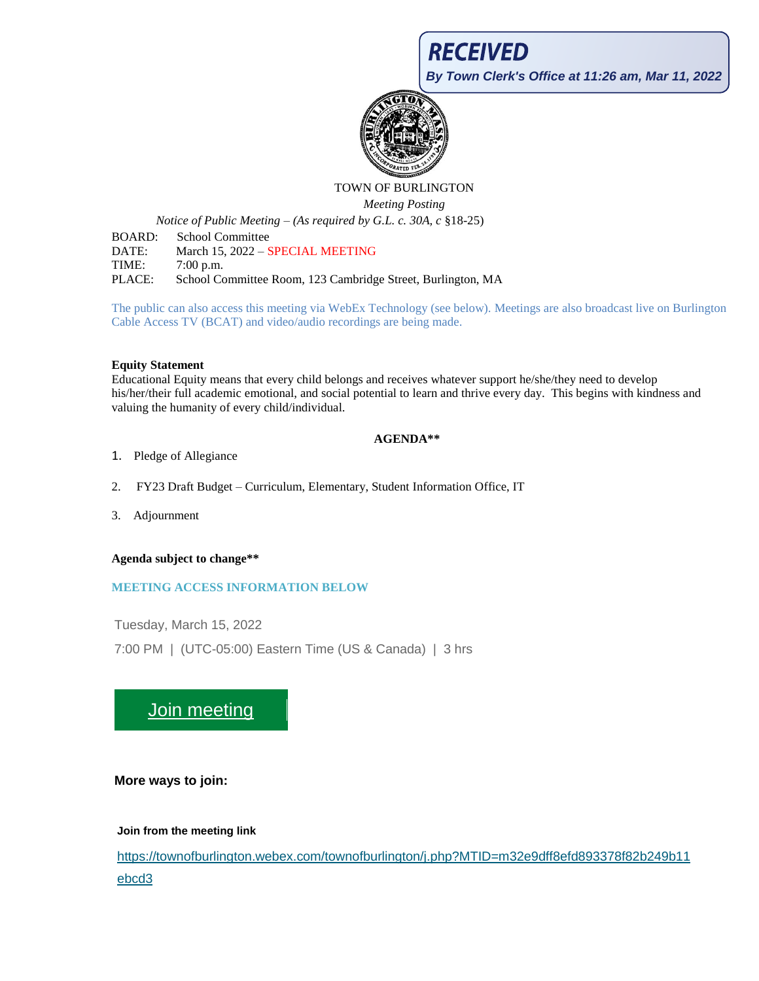**RECEIVED** 

**By Town Clerk's Office at 11:26 am, Mar 11, 2022**



# TOWN OF BURLINGTON

*Meeting Posting*

*Notice of Public Meeting – (As required by G.L. c. 30A, c* §18-25)

BOARD: School Committee DATE: March 15, 2022 – SPECIAL MEETING TIME: 7:00 p.m. PLACE: School Committee Room, 123 Cambridge Street, Burlington, MA

The public can also access this meeting via WebEx Technology (see below). Meetings are also broadcast live on Burlington Cable Access TV (BCAT) and video/audio recordings are being made.

#### **Equity Statement**

Educational Equity means that every child belongs and receives whatever support he/she/they need to develop his/her/their full academic emotional, and social potential to learn and thrive every day. This begins with kindness and valuing the humanity of every child/individual.

# **AGENDA\*\***

- 1. Pledge of Allegiance
- 2. FY23 Draft Budget Curriculum, Elementary, Student Information Office, IT
- 3. Adjournment

**Agenda subject to change\*\***

# **MEETING ACCESS INFORMATION BELOW**

Tuesday, March 15, 2022

7:00 PM | (UTC-05:00) Eastern Time (US & Canada) | 3 hrs

# [Join meeting](https://townofburlington.webex.com/townofburlington/j.php?MTID=m32e9dff8efd893378f82b249b11ebcd3)

# **More ways to join:**

# **Join from the meeting link**

[https://townofburlington.webex.com/townofburlington/j.php?MTID=m32e9dff8efd893378f82b249b11](https://townofburlington.webex.com/townofburlington/j.php?MTID=m32e9dff8efd893378f82b249b11ebcd3) [ebcd3](https://townofburlington.webex.com/townofburlington/j.php?MTID=m32e9dff8efd893378f82b249b11ebcd3)